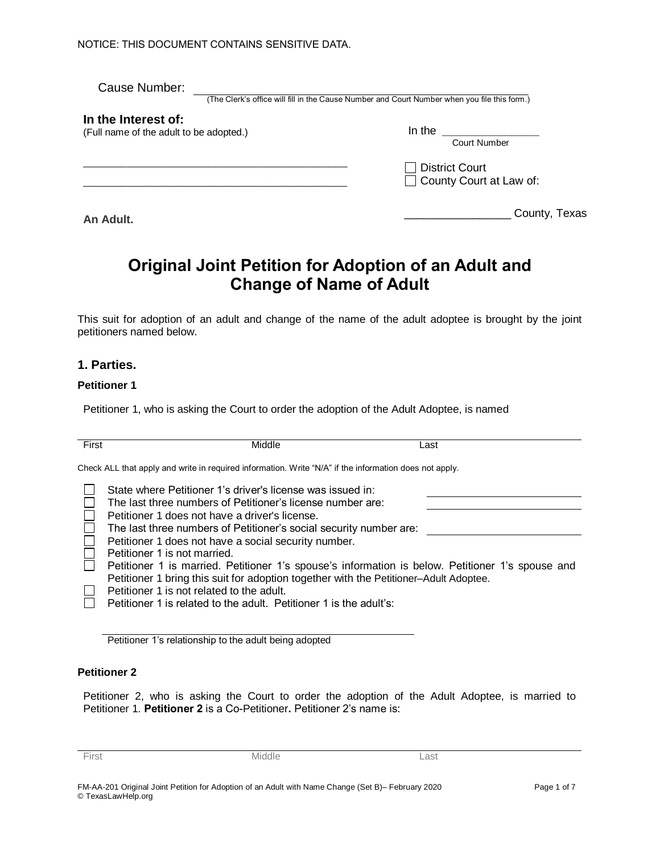| Cause Number:<br>In the Interest of:    | (The Clerk's office will fill in the Cause Number and Court Number when you file this form.) |
|-----------------------------------------|----------------------------------------------------------------------------------------------|
| (Full name of the adult to be adopted.) | In the<br><b>Court Number</b>                                                                |
|                                         | <b>District Court</b><br>County Court at Law of:                                             |
| A <sub>n</sub> A <sub>dir</sub> ii      | County, Texas                                                                                |

**Original Joint Petition for Adoption of an Adult and Change of Name of Adult**

This suit for adoption of an adult and change of the name of the adult adoptee is brought by the joint petitioners named below.

## **1. Parties.**

**An Adult.**

# **Petitioner 1**

Petitioner 1, who is asking the Court to order the adoption of the Adult Adoptee, is named

| First | Middle                                                                                                 | Last |
|-------|--------------------------------------------------------------------------------------------------------|------|
|       |                                                                                                        |      |
|       | Check ALL that apply and write in required information. Write "N/A" if the information does not apply. |      |
|       | State where Petitioner 1's driver's license was issued in:                                             |      |
|       |                                                                                                        |      |
|       | The last three numbers of Petitioner's license number are:                                             |      |
|       | Petitioner 1 does not have a driver's license.                                                         |      |
|       | The last three numbers of Petitioner's social security number are:                                     |      |
|       |                                                                                                        |      |
|       | Petitioner 1 does not have a social security number.                                                   |      |
|       | Petitioner 1 is not married.                                                                           |      |
|       | Petitioner 1 is married. Petitioner 1's spouse's information is below. Petitioner 1's spouse and       |      |
|       |                                                                                                        |      |
|       | Petitioner 1 bring this suit for adoption together with the Petitioner-Adult Adoptee.                  |      |
|       | Petitioner 1 is not related to the adult.                                                              |      |
|       | Petitioner 1 is related to the adult. Petitioner 1 is the adult's:                                     |      |
|       |                                                                                                        |      |
|       |                                                                                                        |      |
|       |                                                                                                        |      |

Petitioner 1's relationship to the adult being adopted

# **Petitioner 2**

Petitioner 2, who is asking the Court to order the adoption of the Adult Adoptee, is married to Petitioner 1. **Petitioner 2** is a Co-Petitioner**.** Petitioner 2's name is: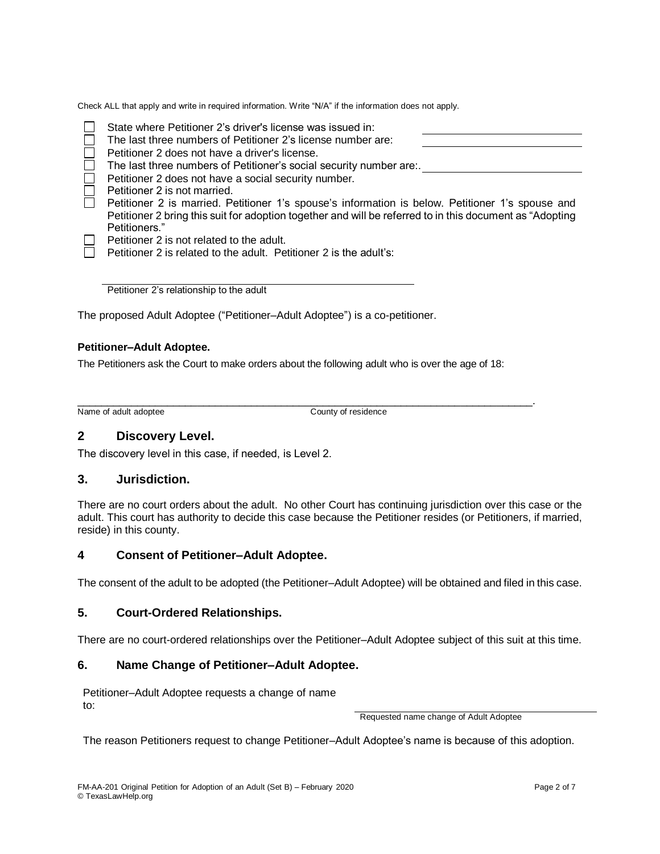Check ALL that apply and write in required information. Write "N/A" if the information does not apply.

| State where Petitioner 2's driver's license was issued in:<br>The last three numbers of Petitioner 2's license number are:<br>Petitioner 2 does not have a driver's license.<br>The last three numbers of Petitioner's social security number are:<br>Petitioner 2 does not have a social security number.<br>Petitioner 2 is not married.<br>Petitioner 2 is married. Petitioner 1's spouse's information is below. Petitioner 1's spouse and |
|------------------------------------------------------------------------------------------------------------------------------------------------------------------------------------------------------------------------------------------------------------------------------------------------------------------------------------------------------------------------------------------------------------------------------------------------|
| Petitioner 2 bring this suit for adoption together and will be referred to in this document as "Adopting"                                                                                                                                                                                                                                                                                                                                      |
| Petitioners."                                                                                                                                                                                                                                                                                                                                                                                                                                  |
| Petitioner 2 is not related to the adult.                                                                                                                                                                                                                                                                                                                                                                                                      |
| Petitioner 2 is related to the adult. Petitioner 2 is the adult's:                                                                                                                                                                                                                                                                                                                                                                             |

Petitioner 2's relationship to the adult

The proposed Adult Adoptee ("Petitioner–Adult Adoptee") is a co-petitioner.

### **Petitioner–Adult Adoptee.**

The Petitioners ask the Court to make orders about the following adult who is over the age of 18:

\_\_\_\_\_\_\_\_\_\_\_\_\_\_\_\_\_\_\_\_\_\_\_\_\_\_\_\_\_\_\_\_\_\_\_\_\_\_\_\_\_\_\_\_\_\_\_\_\_\_\_\_\_\_\_\_\_\_\_\_\_\_\_\_\_\_\_\_\_\_\_\_\_\_\_\_. Name of adult adoptee County of residence

# **2 Discovery Level.**

The discovery level in this case, if needed, is Level 2.

## **3. Jurisdiction.**

There are no court orders about the adult. No other Court has continuing jurisdiction over this case or the adult. This court has authority to decide this case because the Petitioner resides (or Petitioners, if married, reside) in this county.

### **4 Consent of Petitioner–Adult Adoptee.**

The consent of the adult to be adopted (the Petitioner–Adult Adoptee) will be obtained and filed in this case.

# **5. Court-Ordered Relationships.**

There are no court-ordered relationships over the Petitioner–Adult Adoptee subject of this suit at this time.

## **6. Name Change of Petitioner–Adult Adoptee.**

Petitioner–Adult Adoptee requests a change of name to:

Requested name change of Adult Adoptee

The reason Petitioners request to change Petitioner–Adult Adoptee's name is because of this adoption.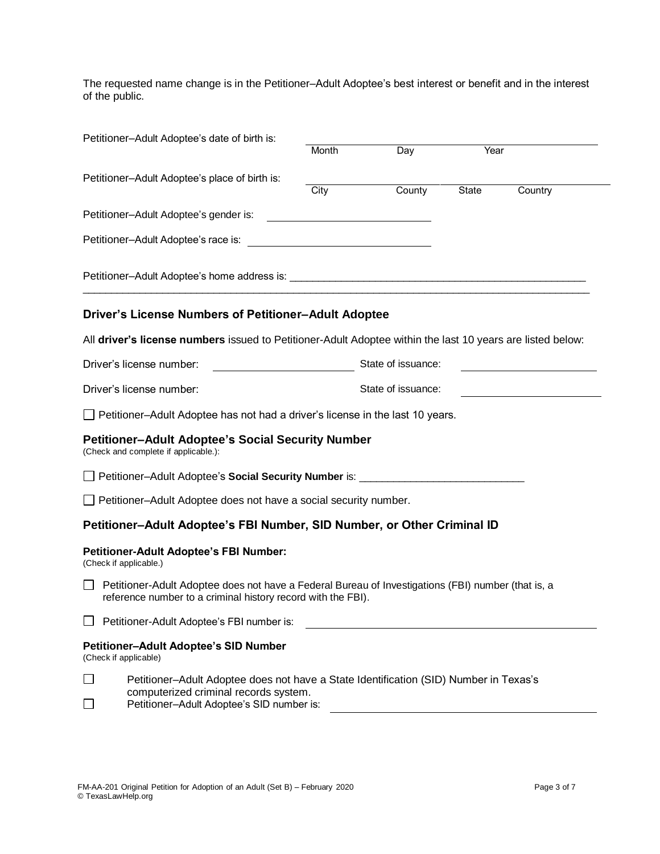The requested name change is in the Petitioner–Adult Adoptee's best interest or benefit and in the interest of the public.

|        | Petitioner-Adult Adoptee's date of birth is:                                                                                                                                |                                                                                                                      |                    |              |         |
|--------|-----------------------------------------------------------------------------------------------------------------------------------------------------------------------------|----------------------------------------------------------------------------------------------------------------------|--------------------|--------------|---------|
|        |                                                                                                                                                                             | Month                                                                                                                | Day                | Year         |         |
|        | Petitioner-Adult Adoptee's place of birth is:                                                                                                                               | City                                                                                                                 | County             | <b>State</b> | Country |
|        | Petitioner-Adult Adoptee's gender is:                                                                                                                                       |                                                                                                                      |                    |              |         |
|        |                                                                                                                                                                             |                                                                                                                      |                    |              |         |
|        | Petitioner-Adult Adoptee's race is:                                                                                                                                         | <u> 1980 - Jan Stein Stein Stein Stein Stein Stein Stein Stein Stein Stein Stein Stein Stein Stein Stein Stein S</u> |                    |              |         |
|        |                                                                                                                                                                             |                                                                                                                      |                    |              |         |
|        | <b>Driver's License Numbers of Petitioner-Adult Adoptee</b>                                                                                                                 |                                                                                                                      |                    |              |         |
|        | All driver's license numbers issued to Petitioner-Adult Adoptee within the last 10 years are listed below:                                                                  |                                                                                                                      |                    |              |         |
|        | Driver's license number:                                                                                                                                                    |                                                                                                                      | State of issuance: |              |         |
|        | Driver's license number:                                                                                                                                                    |                                                                                                                      | State of issuance: |              |         |
|        | Petitioner-Adult Adoptee has not had a driver's license in the last 10 years.                                                                                               |                                                                                                                      |                    |              |         |
|        | <b>Petitioner-Adult Adoptee's Social Security Number</b><br>(Check and complete if applicable.):                                                                            |                                                                                                                      |                    |              |         |
|        | ___ Petitioner–Adult Adoptee's <b>Social Security Number</b> is: _________________________                                                                                  |                                                                                                                      |                    |              |         |
|        | Petitioner-Adult Adoptee does not have a social security number.                                                                                                            |                                                                                                                      |                    |              |         |
|        | Petitioner-Adult Adoptee's FBI Number, SID Number, or Other Criminal ID                                                                                                     |                                                                                                                      |                    |              |         |
|        | <b>Petitioner-Adult Adoptee's FBI Number:</b><br>(Check if applicable.)                                                                                                     |                                                                                                                      |                    |              |         |
| $\Box$ | Petitioner-Adult Adoptee does not have a Federal Bureau of Investigations (FBI) number (that is, a<br>reference number to a criminal history record with the FBI).          |                                                                                                                      |                    |              |         |
|        | Petitioner-Adult Adoptee's FBI number is:                                                                                                                                   |                                                                                                                      |                    |              |         |
|        | <b>Petitioner-Adult Adoptee's SID Number</b><br>(Check if applicable)                                                                                                       |                                                                                                                      |                    |              |         |
| $\Box$ | Petitioner-Adult Adoptee does not have a State Identification (SID) Number in Texas's<br>computerized criminal records system.<br>Petitioner-Adult Adoptee's SID number is: |                                                                                                                      |                    |              |         |
|        |                                                                                                                                                                             |                                                                                                                      |                    |              |         |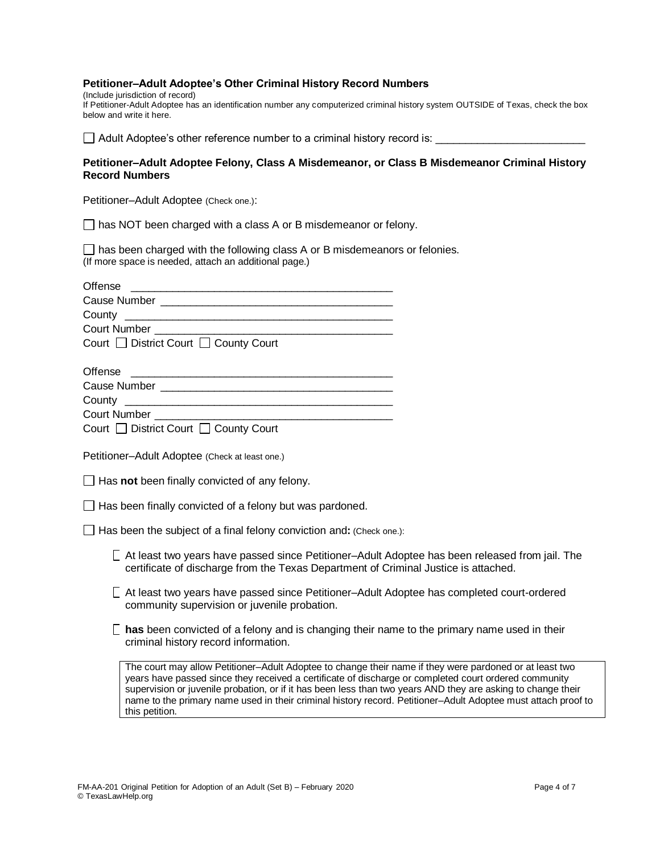#### **Petitioner–Adult Adoptee's Other Criminal History Record Numbers**

(Include jurisdiction of record)

If Petitioner-Adult Adoptee has an identification number any computerized criminal history system OUTSIDE of Texas, check the box below and write it here.

 $\Box$  Adult Adoptee's other reference number to a criminal history record is:  $\Box$ 

### **Petitioner–Adult Adoptee Felony, Class A Misdemeanor, or Class B Misdemeanor Criminal History Record Numbers**

Petitioner–Adult Adoptee (Check one.):

 $\Box$  has NOT been charged with a class A or B misdemeanor or felony.

 $\Box$  has been charged with the following class A or B misdemeanors or felonies. (If more space is needed, attach an additional page.)

| Court □ District Court □ County Court |
|---------------------------------------|
|                                       |
|                                       |
| County                                |

Court Number Court □ District Court □ County Court

Petitioner–Adult Adoptee (Check at least one.)

□ Has **not** been finally convicted of any felony.

 $\Box$  Has been finally convicted of a felony but was pardoned.

Has been the subject of a final felony conviction and**:** (Check one.):

At least two years have passed since Petitioner–Adult Adoptee has been released from jail. The certificate of discharge from the Texas Department of Criminal Justice is attached.

At least two years have passed since Petitioner–Adult Adoptee has completed court-ordered community supervision or juvenile probation.

**has** been convicted of a felony and is changing their name to the primary name used in their criminal history record information.

The court may allow Petitioner–Adult Adoptee to change their name if they were pardoned or at least two years have passed since they received a certificate of discharge or completed court ordered community supervision or juvenile probation, or if it has been less than two years AND they are asking to change their name to the primary name used in their criminal history record. Petitioner–Adult Adoptee must attach proof to this petition.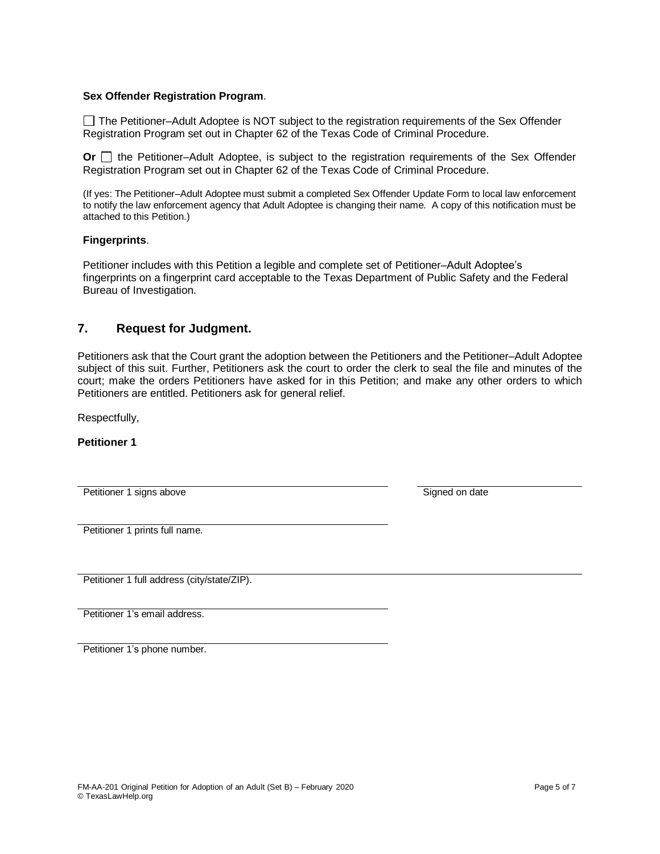## **Sex Offender Registration Program**.

 $\Box$  The Petitioner–Adult Adoptee is NOT subject to the registration requirements of the Sex Offender Registration Program set out in Chapter 62 of the Texas Code of Criminal Procedure.

**Or** □ the Petitioner–Adult Adoptee, is subject to the registration requirements of the Sex Offender Registration Program set out in Chapter 62 of the Texas Code of Criminal Procedure.

(If yes: The Petitioner–Adult Adoptee must submit a completed Sex Offender Update Form to local law enforcement to notify the law enforcement agency that Adult Adoptee is changing their name. A copy of this notification must be attached to this Petition.)

### **Fingerprints**.

Petitioner includes with this Petition a legible and complete set of Petitioner–Adult Adoptee's fingerprints on a fingerprint card acceptable to the Texas Department of Public Safety and the Federal Bureau of Investigation.

# **7. Request for Judgment.**

Petitioners ask that the Court grant the adoption between the Petitioners and the Petitioner–Adult Adoptee subject of this suit. Further, Petitioners ask the court to order the clerk to seal the file and minutes of the court; make the orders Petitioners have asked for in this Petition; and make any other orders to which Petitioners are entitled. Petitioners ask for general relief.

Respectfully,

## **Petitioner 1**

Petitioner 1 signs above Signed on date

Petitioner 1 prints full name.

Petitioner 1 full address (city/state/ZIP).

Petitioner 1's email address.

Petitioner 1's phone number.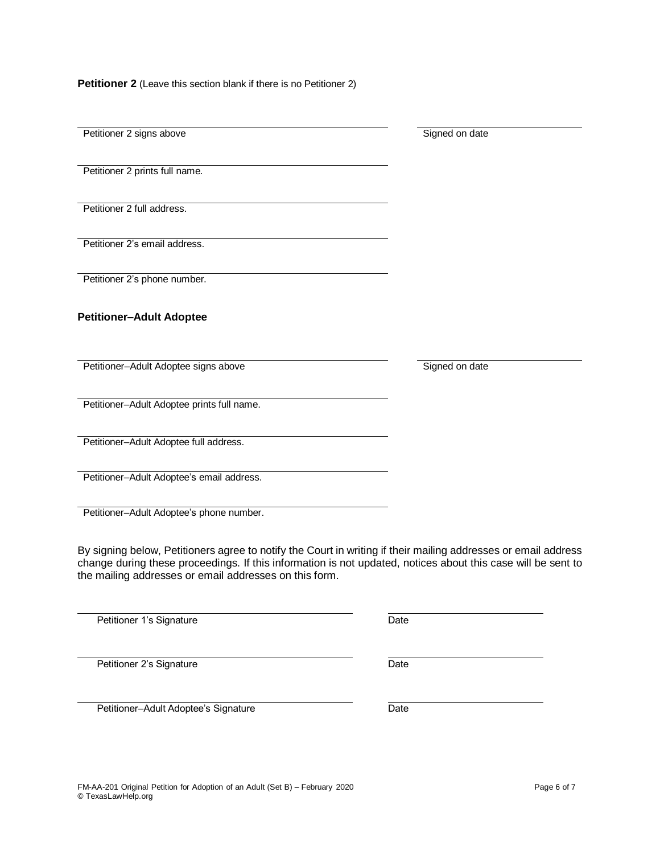**Petitioner 2** (Leave this section blank if there is no Petitioner 2)

| Petitioner 2 signs above                   | Signed on date |
|--------------------------------------------|----------------|
| Petitioner 2 prints full name.             |                |
| Petitioner 2 full address.                 |                |
| Petitioner 2's email address.              |                |
| Petitioner 2's phone number.               |                |
| <b>Petitioner-Adult Adoptee</b>            |                |
| Petitioner-Adult Adoptee signs above       | Signed on date |
| Petitioner-Adult Adoptee prints full name. |                |
| Petitioner-Adult Adoptee full address.     |                |
| Petitioner-Adult Adoptee's email address.  |                |
|                                            |                |

By signing below, Petitioners agree to notify the Court in writing if their mailing addresses or email address change during these proceedings. If this information is not updated, notices about this case will be sent to the mailing addresses or email addresses on this form.

i<br>L

i<br>L

Petitioner 1's Signature Date

Petitioner 2's Signature Date

Petitioner–Adult Adoptee's Signature Date

Petitioner–Adult Adoptee's phone number.